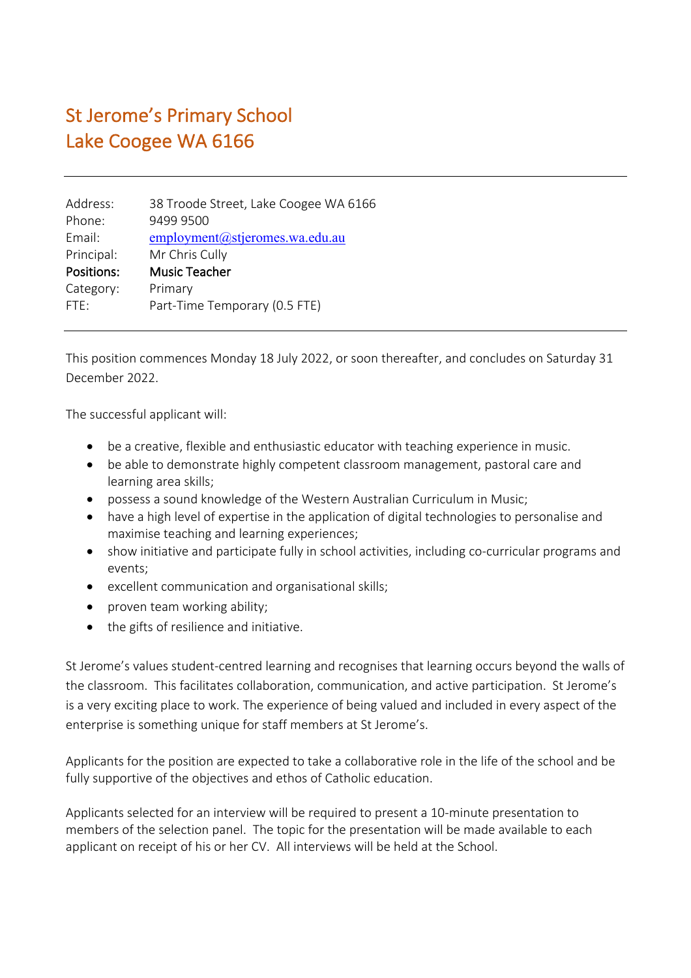## St Jerome's Primary School Lake Coogee WA 6166

| 38 Troode Street, Lake Coogee WA 6166 |
|---------------------------------------|
| 9499 9500                             |
| employment@stjeromes.wa.edu.au        |
| Mr Chris Cully                        |
| Music Teacher                         |
| Primary                               |
| Part-Time Temporary (0.5 FTE)         |
|                                       |

This position commences Monday 18 July 2022, or soon thereafter, and concludes on Saturday 31 December 2022.

The successful applicant will:

- be a creative, flexible and enthusiastic educator with teaching experience in music.
- be able to demonstrate highly competent classroom management, pastoral care and learning area skills;
- possess a sound knowledge of the Western Australian Curriculum in Music;
- have a high level of expertise in the application of digital technologies to personalise and maximise teaching and learning experiences;
- show initiative and participate fully in school activities, including co-curricular programs and events;
- excellent communication and organisational skills;
- proven team working ability;
- the gifts of resilience and initiative.

St Jerome's values student-centred learning and recognises that learning occurs beyond the walls of the classroom. This facilitates collaboration, communication, and active participation. St Jerome's is a very exciting place to work. The experience of being valued and included in every aspect of the enterprise is something unique for staff members at St Jerome's.

Applicants for the position are expected to take a collaborative role in the life of the school and be fully supportive of the objectives and ethos of Catholic education.

Applicants selected for an interview will be required to present a 10-minute presentation to members of the selection panel. The topic for the presentation will be made available to each applicant on receipt of his or her CV. All interviews will be held at the School.